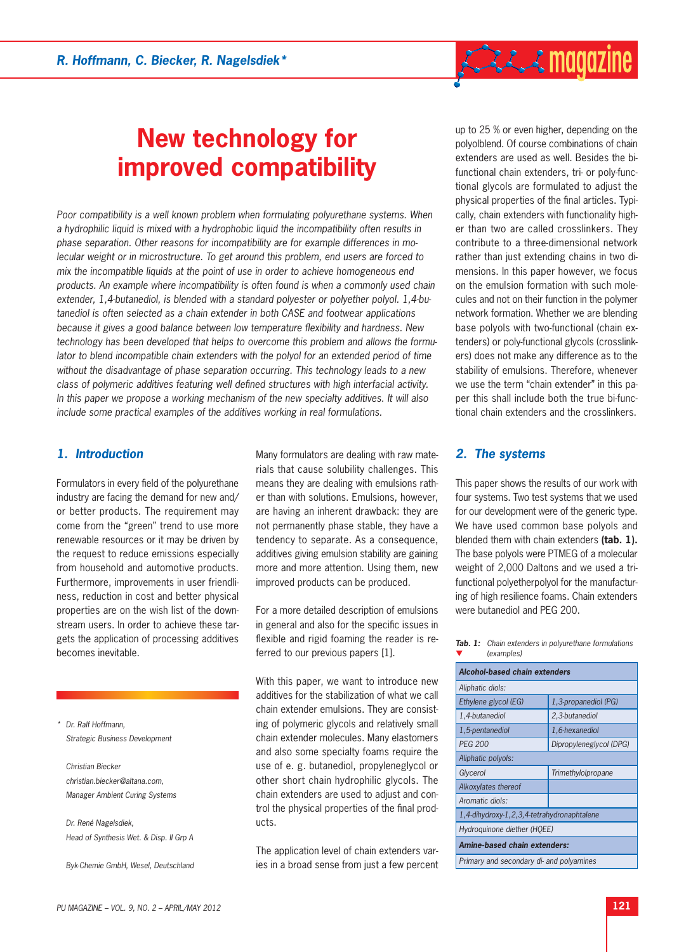# **New technology for improved compatibility**

*Poor compatibility is a well known problem when formulating polyurethane systems. When a hydrophilic liquid is mixed with a hydrophobic liquid the incompatibility often results in phase separation. Other reasons for incompatibility are for example differences in molecular weight or in microstructure. To get around this problem, end users are forced to mix the incompatible liquids at the point of use in order to achieve homogeneous end products. An example where incompatibility is often found is when a commonly used chain extender, 1,4-butanediol, is blended with a standard polyester or polyether polyol. 1,4-butanediol is often selected as a chain extender in both CASE and footwear applications*  because it gives a good balance between low temperature flexibility and hardness. New *technology has been developed that helps to overcome this problem and allows the formulator to blend incompatible chain extenders with the polyol for an extended period of time without the disadvantage of phase separation occurring. This technology leads to a new*  class of polymeric additives featuring well defined structures with high interfacial activity. *In this paper we propose a working mechanism of the new specialty additives. It will also include some practical examples of the additives working in real formulations.*

## *1. Introduction*

Formulators in every field of the polyurethane industry are facing the demand for new and/ or better products. The requirement may come from the "green" trend to use more renewable resources or it may be driven by the request to reduce emissions especially from household and automotive products. Furthermore, improvements in user friendliness, reduction in cost and better physical properties are on the wish list of the downstream users. In order to achieve these targets the application of processing additives becomes inevitable.

*\* Dr. Ralf Hoffmann, Strategic Business Development*

 *Christian Biecker christian.biecker@altana.com, Manager Ambient Curing Systems*

 *Dr. René Nagelsdiek, Head of Synthesis Wet. & Disp. II Grp A*

 *Byk-Chemie GmbH, Wesel, Deutschland*

Many formulators are dealing with raw materials that cause solubility challenges. This means they are dealing with emulsions rather than with solutions. Emulsions, however, are having an inherent drawback: they are not permanently phase stable, they have a tendency to separate. As a consequence, additives giving emulsion stability are gaining more and more attention. Using them, new improved products can be produced.

For a more detailed description of emulsions in general and also for the specific issues in flexible and rigid foaming the reader is referred to our previous papers [1].

With this paper, we want to introduce new additives for the stabilization of what we call chain extender emulsions. They are consisting of polymeric glycols and relatively small chain extender molecules. Many elastomers and also some specialty foams require the use of e. g. butanediol, propyleneglycol or other short chain hydrophilic glycols. The chain extenders are used to adjust and control the physical properties of the final products.

The application level of chain extenders varies in a broad sense from just a few percent up to 25 % or even higher, depending on the polyolblend. Of course combinations of chain extenders are used as well. Besides the bifunctional chain extenders, tri- or poly-functional glycols are formulated to adjust the physical properties of the final articles. Typically, chain extenders with functionality higher than two are called crosslinkers. They contribute to a three-dimensional network rather than just extending chains in two dimensions. In this paper however, we focus on the emulsion formation with such molecules and not on their function in the polymer network formation. Whether we are blending base polyols with two-functional (chain extenders) or poly-functional glycols (crosslinkers) does not make any difference as to the stability of emulsions. Therefore, whenever we use the term "chain extender" in this paper this shall include both the true bi-functional chain extenders and the crosslinkers.

 $f: \mathbb{R} \rightarrow \mathbb{R}$  magazine

## *2. The systems*

This paper shows the results of our work with four systems. Two test systems that we used for our development were of the generic type. We have used common base polyols and blended them with chain extenders **(tab. 1).** The base polyols were PTMEG of a molecular weight of 2,000 Daltons and we used a trifunctional polyetherpolyol for the manufacturing of high resilience foams. Chain extenders were butanediol and PEG 200.

|   | <b>Tab. 1:</b> Chain extenders in polyurethane formulations |
|---|-------------------------------------------------------------|
| ▼ | (examples)                                                  |

| Alcohol-based chain extenders              |                         |  |  |  |
|--------------------------------------------|-------------------------|--|--|--|
| Aliphatic diols:                           |                         |  |  |  |
| Ethylene glycol (EG)                       | 1,3-propanediol (PG)    |  |  |  |
| 1,4-butanediol                             | 2,3-butanediol          |  |  |  |
| 1,5-pentanediol                            | 1,6-hexanediol          |  |  |  |
| <b>PEG 200</b>                             | Dipropyleneglycol (DPG) |  |  |  |
| Aliphatic polyols:                         |                         |  |  |  |
| Glycerol                                   | Trimethylolpropane      |  |  |  |
| Alkoxylates thereof                        |                         |  |  |  |
| Aromatic diols:                            |                         |  |  |  |
| 1,4-dihydroxy-1,2,3,4-tetrahydronaphtalene |                         |  |  |  |
| Hydroguinone diether (HOEE)                |                         |  |  |  |
| Amine-based chain extenders:               |                         |  |  |  |
| Primary and secondary di- and polyamines   |                         |  |  |  |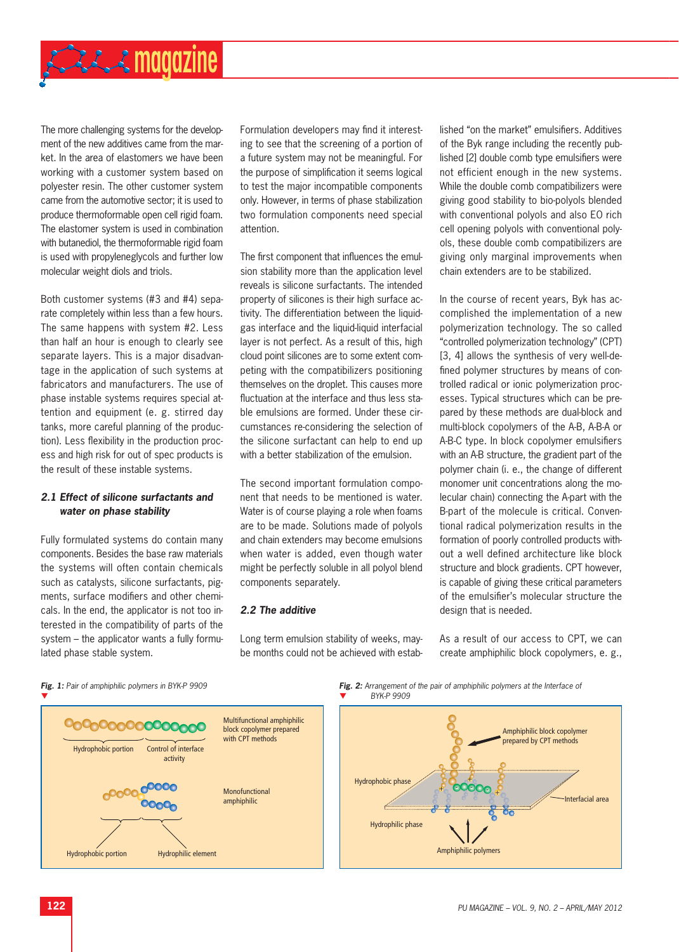

The more challenging systems for the development of the new additives came from the market. In the area of elastomers we have been working with a customer system based on polyester resin. The other customer system came from the automotive sector; it is used to produce thermoformable open cell rigid foam. The elastomer system is used in combination with butanediol, the thermoformable rigid foam is used with propyleneglycols and further low molecular weight diols and triols.

Both customer systems (#3 and #4) separate completely within less than a few hours. The same happens with system #2. Less than half an hour is enough to clearly see separate layers. This is a major disadvantage in the application of such systems at fabricators and manufacturers. The use of phase instable systems requires special attention and equipment (e. g. stirred day tanks, more careful planning of the production). Less flexibility in the production process and high risk for out of spec products is the result of these instable systems.

### *2.1 Effect of silicone surfactants and water on phase stability*

Fully formulated systems do contain many components. Besides the base raw materials the systems will often contain chemicals such as catalysts, silicone surfactants, pigments, surface modifiers and other chemicals. In the end, the applicator is not too interested in the compatibility of parts of the system – the applicator wants a fully formulated phase stable system.

Formulation developers may find it interesting to see that the screening of a portion of a future system may not be meaningful. For the purpose of simplification it seems logical to test the major incompatible components only. However, in terms of phase stabilization two formulation components need special attention.

The first component that influences the emulsion stability more than the application level reveals is silicone surfactants. The intended property of silicones is their high surface activity. The differentiation between the liquidgas interface and the liquid-liquid interfacial layer is not perfect. As a result of this, high cloud point silicones are to some extent competing with the compatibilizers positioning themselves on the droplet. This causes more fluctuation at the interface and thus less stable emulsions are formed. Under these circumstances re-considering the selection of the silicone surfactant can help to end up with a better stabilization of the emulsion.

The second important formulation component that needs to be mentioned is water. Water is of course playing a role when foams are to be made. Solutions made of polyols and chain extenders may become emulsions when water is added, even though water might be perfectly soluble in all polyol blend components separately.

#### *2.2 The additive*

Long term emulsion stability of weeks, maybe months could not be achieved with established "on the market" emulsifiers. Additives of the Byk range including the recently published [2] double comb type emulsifiers were not efficient enough in the new systems. While the double comb compatibilizers were giving good stability to bio-polyols blended with conventional polyols and also EO rich cell opening polyols with conventional polyols, these double comb compatibilizers are giving only marginal improvements when chain extenders are to be stabilized.

In the course of recent years, Byk has accomplished the implementation of a new polymerization technology. The so called "controlled polymerization technology" (CPT) [3, 4] allows the synthesis of very well-defined polymer structures by means of controlled radical or ionic polymerization processes. Typical structures which can be prepared by these methods are dual-block and multi-block copolymers of the A-B, A-B-A or A-B-C type. In block copolymer emulsifiers with an A-B structure, the gradient part of the polymer chain (i. e., the change of different monomer unit concentrations along the molecular chain) connecting the A-part with the B-part of the molecule is critical. Conventional radical polymerization results in the formation of poorly controlled products without a well defined architecture like block structure and block gradients. CPT however, is capable of giving these critical parameters of the emulsifier's molecular structure the design that is needed.

As a result of our access to CPT, we can create amphiphilic block copolymers, e. g.,

*Fig. 2: Arrangement of the pair of amphiphilic polymers at the Interface of* 



*Fig. 1: Pair of amphiphilic polymers in BYK-P 9909*

#### **122** *PU MAGAZINE – VOL. 9, NO. 2 – APRIL/MAY 2012*

Interfacial area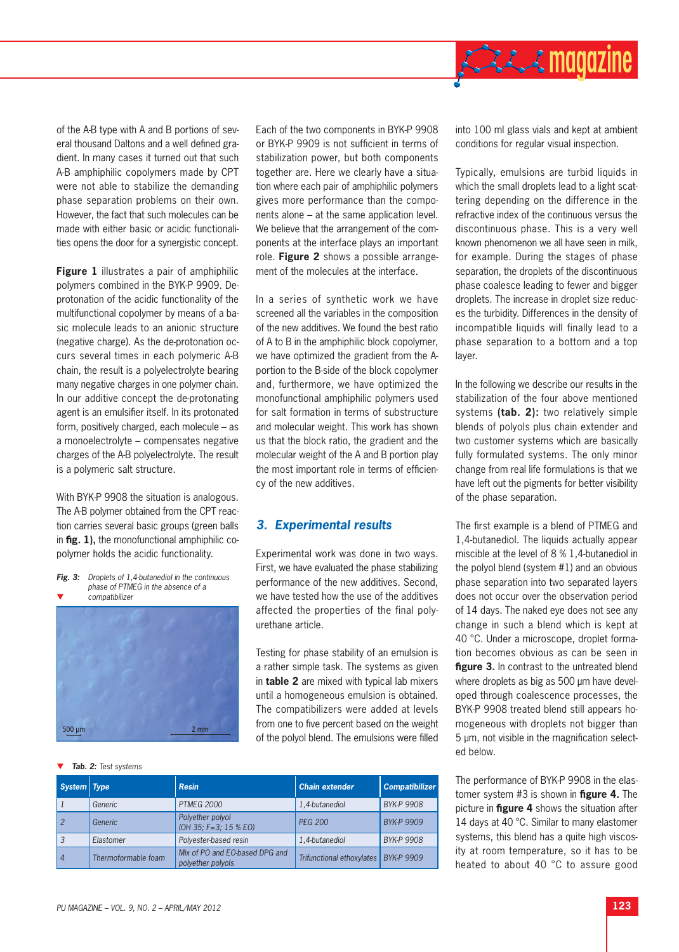

of the A-B type with A and B portions of several thousand Daltons and a well defined gradient. In many cases it turned out that such A-B amphiphilic copolymers made by CPT were not able to stabilize the demanding phase separation problems on their own. However, the fact that such molecules can be made with either basic or acidic functionalities opens the door for a synergistic concept.

**Figure 1** illustrates a pair of amphiphilic polymers combined in the BYK-P 9909. Deprotonation of the acidic functionality of the multifunctional copolymer by means of a basic molecule leads to an anionic structure (negative charge). As the de-protonation occurs several times in each polymeric A-B chain, the result is a polyelectrolyte bearing many negative charges in one polymer chain. In our additive concept the de-protonating agent is an emulsifier itself. In its protonated form, positively charged, each molecule – as a monoelectrolyte – compensates negative charges of the A-B polyelectrolyte. The result is a polymeric salt structure.

With BYK-P 9908 the situation is analogous. The A-B polymer obtained from the CPT reaction carries several basic groups (green balls in **fig. 1)**, the monofunctional amphiphilic copolymer holds the acidic functionality.

#### *Fig. 3: Droplets of 1,4-butanediol in the continuous phase of PTMEG in the absence of a compatibilizer*



## Each of the two components in BYK-P 9908 or BYK-P 9909 is not sufficient in terms of stabilization power, but both components together are. Here we clearly have a situation where each pair of amphiphilic polymers gives more performance than the components alone – at the same application level. We believe that the arrangement of the components at the interface plays an important role. **Figure 2** shows a possible arrangement of the molecules at the interface.

In a series of synthetic work we have screened all the variables in the composition of the new additives. We found the best ratio of A to B in the amphiphilic block copolymer, we have optimized the gradient from the Aportion to the B-side of the block copolymer and, furthermore, we have optimized the monofunctional amphiphilic polymers used for salt formation in terms of substructure and molecular weight. This work has shown us that the block ratio, the gradient and the molecular weight of the A and B portion play the most important role in terms of efficiency of the new additives.

## *3. Experimental results*

Experimental work was done in two ways. First, we have evaluated the phase stabilizing performance of the new additives. Second, we have tested how the use of the additives affected the properties of the final polyurethane article.

Testing for phase stability of an emulsion is a rather simple task. The systems as given in **table 2** are mixed with typical lab mixers until a homogeneous emulsion is obtained. The compatibilizers were added at levels from one to five percent based on the weight of the polyol blend. The emulsions were filled

into 100 ml glass vials and kept at ambient conditions for regular visual inspection.

Typically, emulsions are turbid liquids in which the small droplets lead to a light scattering depending on the difference in the refractive index of the continuous versus the discontinuous phase. This is a very well known phenomenon we all have seen in milk, for example. During the stages of phase separation, the droplets of the discontinuous phase coalesce leading to fewer and bigger droplets. The increase in droplet size reduces the turbidity. Differences in the density of incompatible liquids will finally lead to a phase separation to a bottom and a top layer.

In the following we describe our results in the stabilization of the four above mentioned systems **(tab. 2):** two relatively simple blends of polyols plus chain extender and two customer systems which are basically fully formulated systems. The only minor change from real life formulations is that we have left out the pigments for better visibility of the phase separation.

The first example is a blend of PTMEG and 1,4-butanediol. The liquids actually appear miscible at the level of 8 % 1,4-butanediol in the polyol blend (system #1) and an obvious phase separation into two separated layers does not occur over the observation period of 14 days. The naked eye does not see any change in such a blend which is kept at 40 °C. Under a microscope, droplet formation becomes obvious as can be seen in **figure 3.** In contrast to the untreated blend where droplets as big as 500 um have developed through coalescence processes, the BYK-P 9908 treated blend still appears homogeneous with droplets not bigger than 5 um, not visible in the magnification selected below.

The performance of BYK-P 9908 in the elastomer system #3 is shown in **figure 4.** The picture in **figure 4** shows the situation after 14 days at 40 °C. Similar to many elastomer systems, this blend has a quite high viscosity at room temperature, so it has to be heated to about 40 °C to assure good

#### *Tab. 2: Test systems*

| System Type |                     | <b>Resin</b>                                        | <b>Chain extender</b>     | <b>Compatibilizer</b> |  |
|-------------|---------------------|-----------------------------------------------------|---------------------------|-----------------------|--|
|             | Generic             | <b>PTMEG 2000</b>                                   | 1,4-butanediol            | <b>BYK-P 9908</b>     |  |
|             | Generic             | Polyether polyol<br>$(OH 35; F=3; 15 % EO)$         | <b>PEG 200</b>            | <b>BYK-P 9909</b>     |  |
| 3           | Elastomer           | Polyester-based resin                               | 1,4-butanediol            | <b>BYK-P 9908</b>     |  |
| 4           | Thermoformable foam | Mix of PO and EO-based DPG and<br>polyether polyols | Trifunctional ethoxylates | <b>BYK-P 9909</b>     |  |